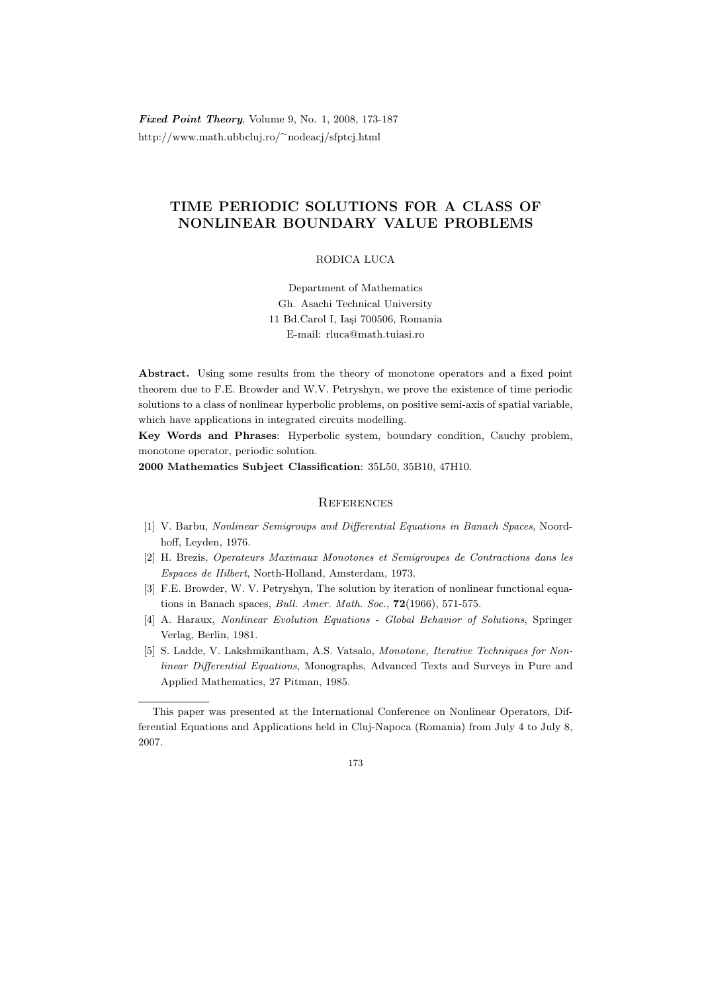Fixed Point Theory, Volume 9, No. 1, 2008, 173-187 http://www.math.ubbcluj.ro/<sup>∼</sup>nodeacj/sfptcj.html

## TIME PERIODIC SOLUTIONS FOR A CLASS OF NONLINEAR BOUNDARY VALUE PROBLEMS

## RODICA LUCA

Department of Mathematics Gh. Asachi Technical University 11 Bd.Carol I, Iasi 700506, Romania E-mail: rluca@math.tuiasi.ro

Abstract. Using some results from the theory of monotone operators and a fixed point theorem due to F.E. Browder and W.V. Petryshyn, we prove the existence of time periodic solutions to a class of nonlinear hyperbolic problems, on positive semi-axis of spatial variable, which have applications in integrated circuits modelling.

Key Words and Phrases: Hyperbolic system, boundary condition, Cauchy problem, monotone operator, periodic solution.

2000 Mathematics Subject Classification: 35L50, 35B10, 47H10.

## **REFERENCES**

- [1] V. Barbu, Nonlinear Semigroups and Differential Equations in Banach Spaces, Noordhoff, Leyden, 1976.
- [2] H. Brezis, Operateurs Maximaux Monotones et Semigroupes de Contractions dans les Espaces de Hilbert, North-Holland, Amsterdam, 1973.
- [3] F.E. Browder, W. V. Petryshyn, The solution by iteration of nonlinear functional equations in Banach spaces, Bull. Amer. Math. Soc., 72(1966), 571-575.
- [4] A. Haraux, Nonlinear Evolution Equations Global Behavior of Solutions, Springer Verlag, Berlin, 1981.
- [5] S. Ladde, V. Lakshmikantham, A.S. Vatsalo, Monotone, Iterative Techniques for Nonlinear Differential Equations, Monographs, Advanced Texts and Surveys in Pure and Applied Mathematics, 27 Pitman, 1985.

This paper was presented at the International Conference on Nonlinear Operators, Differential Equations and Applications held in Cluj-Napoca (Romania) from July 4 to July 8, 2007.

<sup>173</sup>